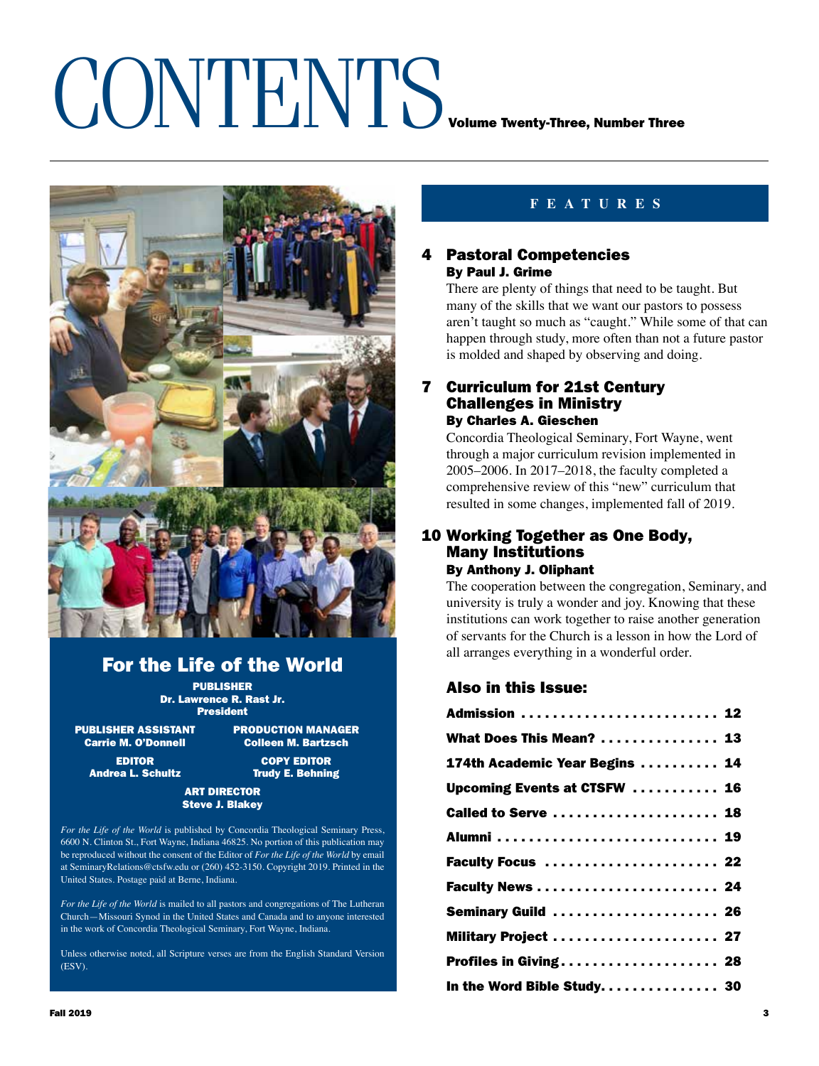### CONTENTS<sub>Volume Twenty-Three, Number Three</sub>



### For the Life of the World

PUBLISHER Dr. Lawrence R. Rast Jr. President

PUBLISHER ASSISTANT PRODUCTION MANAGER<br>Carrie M. O'Donnell Colleen M. Bartzsch

**Colleen M. Bartzsch** EDITOR COPY EDITOR

Andrea L. Schultz **Trudy E. Behning** 

### ART DIRECTOR Steve J. Blakey

*For the Life of the World* is published by Concordia Theological Seminary Press, 6600 N. Clinton St., Fort Wayne, Indiana 46825. No portion of this publication may be reproduced without the consent of the Editor of *For the Life of the World* by email at SeminaryRelations@ctsfw.edu or (260) 452-3150. Copyright 2019. Printed in the United States. Postage paid at Berne, Indiana.

*For the Life of the World* is mailed to all pastors and congregations of The Lutheran Church—Missouri Synod in the United States and Canada and to anyone interested in the work of Concordia Theological Seminary, Fort Wayne, Indiana.

Unless otherwise noted, all Scripture verses are from the English Standard Version (ESV).

### **FEATURES**

### 4 Pastoral Competencies By Paul J. Grime

There are plenty of things that need to be taught. But many of the skills that we want our pastors to possess aren't taught so much as "caught." While some of that can happen through study, more often than not a future pastor is molded and shaped by observing and doing.

### 7 Curriculum for 21st Century Challenges in Ministry By Charles A. Gieschen

Concordia Theological Seminary, Fort Wayne, went through a major curriculum revision implemented in 2005–2006. In 2017–2018, the faculty completed a comprehensive review of this "new" curriculum that resulted in some changes, implemented fall of 2019.

### 10 Working Together as One Body, Many Institutions By Anthony J. Oliphant

The cooperation between the congregation, Seminary, and university is truly a wonder and joy. Knowing that these institutions can work together to raise another generation of servants for the Church is a lesson in how the Lord of all arranges everything in a wonderful order.

### Also in this Issue:

| Admission  12                  |
|--------------------------------|
| What Does This Mean?  13       |
| 174th Academic Year Begins  14 |
| Upcoming Events at CTSFW  16   |
| Called to Serve  18            |
|                                |
| Faculty Focus  22              |
| Faculty News  24               |
| Seminary Guild  26             |
| Military Project  27           |
| Profiles in Giving 28          |
| In the Word Bible Study 30     |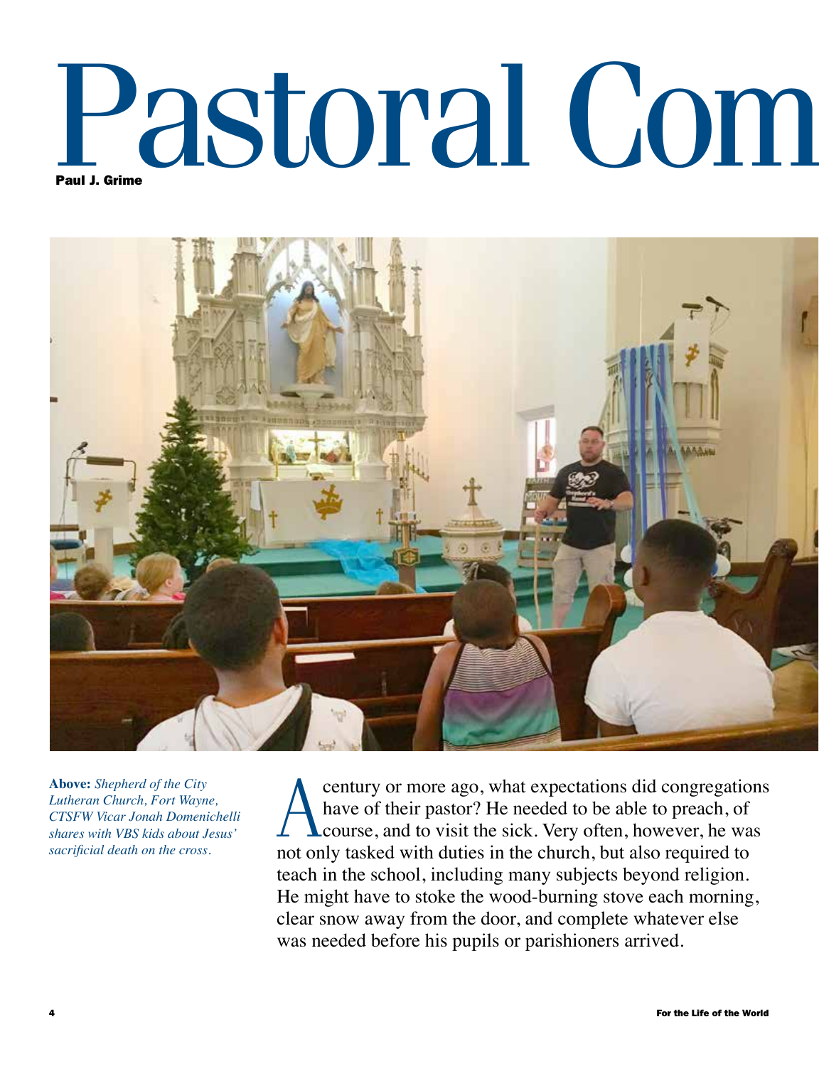# Pastoral Com



**Above:** *Shepherd of the City Lutheran Church, Fort Wayne, CTSFW Vicar Jonah Domenichelli shares with VBS kids about Jesus' sacrificial death on the cross.*

century or more ago, what expectations did congregations<br>have of their pastor? He needed to be able to preach, of<br>course, and to visit the sick. Very often, however, he was have of their pastor? He needed to be able to preach, of course, and to visit the sick. Very often, however, he was not only tasked with duties in the church, but also required to teach in the school, including many subjects beyond religion. He might have to stoke the wood-burning stove each morning, clear snow away from the door, and complete whatever else was needed before his pupils or parishioners arrived.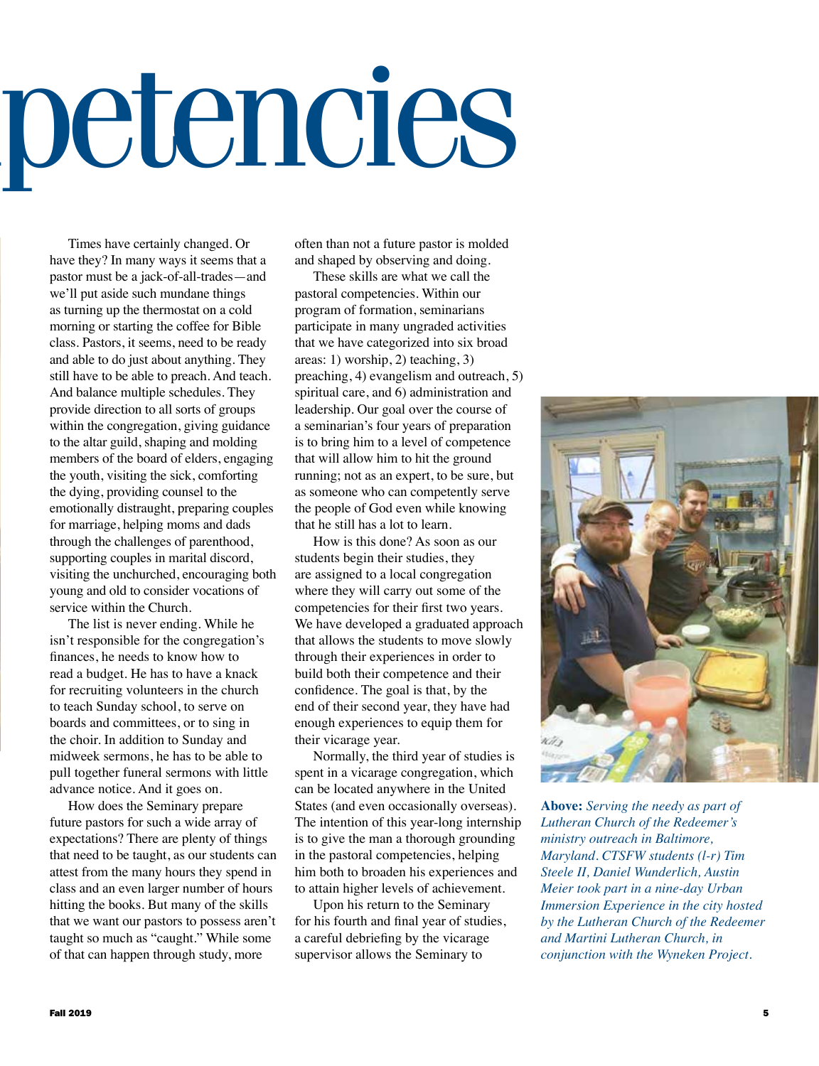## petencies

Times have certainly changed. Or have they? In many ways it seems that a pastor must be a jack-of-all-trades—and we'll put aside such mundane things as turning up the thermostat on a cold morning or starting the coffee for Bible class. Pastors, it seems, need to be ready and able to do just about anything. They still have to be able to preach. And teach. And balance multiple schedules. They provide direction to all sorts of groups within the congregation, giving guidance to the altar guild, shaping and molding members of the board of elders, engaging the youth, visiting the sick, comforting the dying, providing counsel to the emotionally distraught, preparing couples for marriage, helping moms and dads through the challenges of parenthood, supporting couples in marital discord, visiting the unchurched, encouraging both young and old to consider vocations of service within the Church.

The list is never ending. While he isn't responsible for the congregation's finances, he needs to know how to read a budget. He has to have a knack for recruiting volunteers in the church to teach Sunday school, to serve on boards and committees, or to sing in the choir. In addition to Sunday and midweek sermons, he has to be able to pull together funeral sermons with little advance notice. And it goes on.

How does the Seminary prepare future pastors for such a wide array of expectations? There are plenty of things that need to be taught, as our students can attest from the many hours they spend in class and an even larger number of hours hitting the books. But many of the skills that we want our pastors to possess aren't taught so much as "caught." While some of that can happen through study, more

often than not a future pastor is molded and shaped by observing and doing.

These skills are what we call the pastoral competencies. Within our program of formation, seminarians participate in many ungraded activities that we have categorized into six broad areas: 1) worship, 2) teaching, 3) preaching, 4) evangelism and outreach, 5) spiritual care, and 6) administration and leadership. Our goal over the course of a seminarian's four years of preparation is to bring him to a level of competence that will allow him to hit the ground running; not as an expert, to be sure, but as someone who can competently serve the people of God even while knowing that he still has a lot to learn.

How is this done? As soon as our students begin their studies, they are assigned to a local congregation where they will carry out some of the competencies for their first two years. We have developed a graduated approach that allows the students to move slowly through their experiences in order to build both their competence and their confidence. The goal is that, by the end of their second year, they have had enough experiences to equip them for their vicarage year.

Normally, the third year of studies is spent in a vicarage congregation, which can be located anywhere in the United States (and even occasionally overseas). The intention of this year-long internship is to give the man a thorough grounding in the pastoral competencies, helping him both to broaden his experiences and to attain higher levels of achievement.

Upon his return to the Seminary for his fourth and final year of studies, a careful debriefing by the vicarage supervisor allows the Seminary to



**Above:** *Serving the needy as part of Lutheran Church of the Redeemer's ministry outreach in Baltimore, Maryland. CTSFW students (l-r) Tim Steele II, Daniel Wunderlich, Austin Meier took part in a nine-day Urban Immersion Experience in the city hosted by the Lutheran Church of the Redeemer and Martini Lutheran Church, in conjunction with the Wyneken Project.*